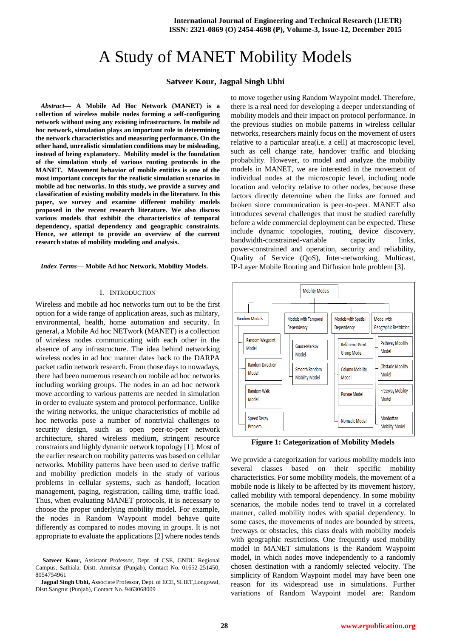# A Study of MANET Mobility Models

# **Satveer Kour, Jagpal Singh Ubhi**

*Abstract***— A Mobile Ad Hoc Network (MANET) is a collection of wireless mobile nodes forming a self-configuring network without using any existing infrastructure. In mobile ad hoc network, simulation plays an important role in determining the network characteristics and measuring performance. On the other hand, unrealistic simulation conditions may be misleading, instead of being explanatory. Mobility model is the foundation of the simulation study of various routing protocols in the MANET. Movement behavior of mobile entities is one of the most important concepts for the realistic simulation scenarios in mobile ad hoc networks. In this study, we provide a survey and classification of existing mobility models in the literature. In this paper, we survey and examine different mobility models proposed in the recent research literature. We also discuss various models that exhibit the characteristics of temporal dependency, spatial dependency and geographic constraints. Hence, we attempt to provide an overview of the current research status of mobility modeling and analysis.**

*Index Terms***— Mobile Ad hoc Network, Mobility Models.**

#### I. INTRODUCTION

Wireless and mobile ad hoc networks turn out to be the first option for a wide range of application areas, such as military, environmental, health, home automation and security. In general, a Mobile Ad hoc NETwork (MANET) is a collection of wireless nodes communicating with each other in the absence of any infrastructure. The idea behind networking wireless nodes in ad hoc manner dates back to the DARPA packet radio network research. From those days to nowadays, there had been numerous research on mobile ad hoc networks including working groups. The nodes in an ad hoc network move according to various patterns are needed in simulation in order to evaluate system and protocol performance. Unlike the wiring networks, the unique characteristics of mobile ad hoc networks pose a number of nontrivial challenges to security design, such as open peer-to-peer network architecture, shared wireless medium, stringent resource constraints and highly dynamic network topology [1]. Most of the earlier research on mobility patterns was based on cellular networks. Mobility patterns have been used to derive traffic and mobility prediction models in the study of various problems in cellular systems, such as handoff, location management, paging, registration, calling time, traffic load. Thus, when evaluating MANET protocols, it is necessary to choose the proper underlying mobility model. For example, the nodes in Random Waypoint model behave quite differently as compared to nodes moving in groups. It is not appropriate to evaluate the applications [2] where nodes tends

**Satveer Kour,** Assistant Professor, Dept. of CSE, GNDU Regional Campus, Sathiala, Distt. Amritsar (Punjab), Contact No. 01652-251450, 8054754961

**Jagpal Singh Ubhi,** Associate Professor, Dept. of ECE, SLIET,Longowal, Distt.Sangrur (Punjab), Contact No. 9463068009

to move together using Random Waypoint model. Therefore, there is a real need for developing a deeper understanding of mobility models and their impact on protocol performance. In the previous studies on mobile patterns in wireless cellular networks, researchers mainly focus on the movement of users relative to a particular area(i.e. a cell) at macroscopic level, such as cell change rate, handover traffic and blocking probability. However, to model and analyze the mobility models in MANET, we are interested in the movement of individual nodes at the microscopic level, including node location and velocity relative to other nodes, because these factors directly determine when the links are formed and broken since communication is peer-to-peer. MANET also introduces several challenges that must be studied carefully before a wide commercial deployment can be expected. These include dynamic topologies, routing, device discovery, bandwidth-constrained-variable capacity links, power-constrained and operation, security and reliability, Quality of Service (QoS), Inter-networking, Multicast, IP-Layer Mobile Routing and Diffusion hole problem [3].



**Figure 1: Categorization of Mobility Models**

We provide a categorization for various mobility models into several classes based on their specific mobility characteristics. For some mobility models, the movement of a mobile node is likely to be affected by its movement history, called mobility with temporal dependency. In some mobility scenarios, the mobile nodes tend to travel in a correlated manner, called mobility nodes with spatial dependency. In some cases, the movements of nodes are bounded by streets, freeways or obstacles, this class deals with mobility models with geographic restrictions. One frequently used mobility model in MANET simulations is the Random Waypoint model, in which nodes move independently to a randomly chosen destination with a randomly selected velocity. The simplicity of Random Waypoint model may have been one reason for its widespread use in simulations. Further variations of Random Waypoint model are: Random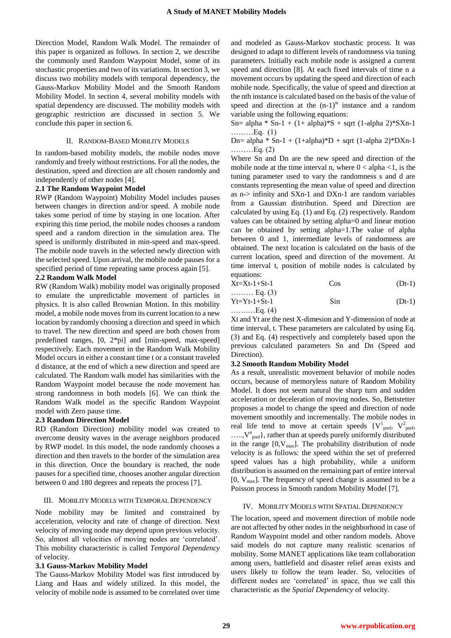Direction Model, Random Walk Model. The remainder of this paper is organized as follows. In section 2, we describe the commonly used Random Waypoint Model, some of its stochastic properties and two of its variations. In section 3, we discuss two mobility models with temporal dependency, the Gauss-Markov Mobility Model and the Smooth Random Mobility Model. In section 4, several mobility models with spatial dependency are discussed. The mobility models with geographic restriction are discussed in section 5. We conclude this paper in section 6.

## II. RANDOM-BASED MOBILITY MODELS

In random-based mobility models, the mobile nodes move randomly and freely without restrictions. For all the nodes, the destination, speed and direction are all chosen randomly and independently of other nodes [4].

# **2.1 The Random Waypoint Model**

RWP (Random Waypoint) Mobility Model includes pauses between changes in direction and/or speed. A mobile node takes some period of time by staying in one location. After expiring this time period, the mobile nodes chooses a random speed and a random direction in the simulation area. The speed is uniformly distributed in min-speed and max-speed. The mobile node travels in the selected newly direction with the selected speed. Upon arrival, the mobile node pauses for a specified period of time repeating same process again [5].

## **2.2 Random Walk Model**

RW (Random Walk) mobility model was originally proposed to emulate the unpredictable movement of particles in physics. It is also called Brownian Motion. In this mobility model, a mobile node moves from its current location to a new location by randomly choosing a direction and speed in which to travel. The new direction and speed are both chosen from predefined ranges, [0, 2\*pi] and [min-speed, max-speed] respectively. Each movement in the Random Walk Mobility Model occurs in either a constant time t or a constant traveled d distance, at the end of which a new direction and speed are calculated. The Random walk model has similarities with the Random Waypoint model because the node movement has strong randomness in both models [6]. We can think the Random Walk model as the specific Random Waypoint model with Zero pause time.

#### **2.3 Random Direction Model**

RD (Random Direction) mobility model was created to overcome density waves in the average neighbors produced by RWP model. In this model, the node randomly chooses a direction and then travels to the border of the simulation area in this direction. Once the boundary is reached, the node pauses for a specified time, chooses another angular direction between 0 and 180 degrees and repeats the process [7].

#### III. MOBILITY MODELS WITH TEMPORAL DEPENDENCY

Node mobility may be limited and constrained by acceleration, velocity and rate of change of direction. Next velocity of moving node may depend upon previous velocity. So, almost all velocities of moving nodes are "correlated". This mobility characteristic is called *Temporal Dependency* of velocity.

#### **3.1 Gauss-Markov Mobility Model**

The Gauss-Markov Mobility Model was first introduced by Liang and Haas and widely utilized. In this model, the velocity of mobile node is assumed to be correlated over time and modeled as Gauss-Markov stochastic process. It was designed to adapt to different levels of randomness via tuning parameters. Initially each mobile node is assigned a current speed and direction [8]. At each fixed intervals of time n a movement occurs by updating the speed and direction of each mobile node. Specifically, the value of speed and direction at the nth instance is calculated based on the basis of the value of speed and direction at the  $(n-1)$ <sup>st</sup> instance and a random variable using the following equations:

Sn= alpha \* Sn-1 +  $(1+$  alpha)\*S + sqrt  $(1-$ alpha 2)\*SXn-1 ………Eq. (1)

Dn= alpha \* Sn-1 +  $(1+alpha)*D$  + sqrt  $(1-alpha 2)*DXn-1$ ………Eq. (2)

Where Sn and Dn are the new speed and direction of the mobile node at the time interval n, where  $0 < \alpha$ lpha <1, is the tuning parameter used to vary the randomness s and d are constants representing the mean value of speed and direction as n-> infinity and SXn-1 and DXn-1 are random variables from a Gaussian distribution. Speed and Direction are calculated by using Eq. (1) and Eq. (2) respectively. Random values can be obtained by setting alpha=0 and linear motion can be obtained by setting alpha=1.The value of alpha between 0 and 1, intermediate levels of randomness are obtained. The next location is calculated on the basis of the current location, speed and direction of the movement. At time interval t, position of mobile nodes is calculated by equations:

$$
Xt = Xt-1+St-1
$$
  $Cos$   $(Dt-1)$ 

$$
\begin{array}{ll}\n & \text{Equation 1: } \text{Eq. (3)} \\
\text{Yt=Yt-1+St-1} & \text{Sin} \quad \text{(Dt-1)} \\
& \text{Equation 2: } \text{Equation 3: } \text{Equation 4: } \text{Equation 5: } \text{Equation 5: } \text{Equation 6: } \text{Equation 7: } \text{Equation 7: } \text{Equation 7: } \text{Equation 8: } \text{Equation 7: } \text{Equation 8: } \text{Equation 8: } \text{Equation 9: } \text{Equation 9: } \text{Equation 1: } \text{Equation 1: } \text{Equation 1: } \text{Equation 1: } \text{Equation 2: } \text{Equation 3: } \text{Equation 3: } \text{Equation 4: } \text{Equation 5: } \text{Equation 5: } \text{Equation 6: } \text{Equation 7: } \text{Equation 7: } \text{Equation 8: } \text{Equation 1: } \text{Equation 1: } \text{Equation 1: } \text{Equation 1: } \text{Equation 2: } \text{Equation 3: } \text{Equation 3: } \text{Equation 4: } \text{Equation 5: } \text{Equation 6: } \text{Equation 7: } \text{Equation 7: } \text{Equation 8: } \text{Equation 1: } \text{Equation 1: } \text{Equation 1: } \text{Equation 1: } \text{Equation 1: } \text{Equation 1: } \text{Equation 2: } \text{Equation 2: } \text{Equation 3: } \text{Equation 3: } \text{Equation 4: } \text{Equation 5: } \text{Equation 1: } \text{Equation 1: } \text{Equation 1: } \text{Equation 1: } \text{Equation 1: } \text{Equation 2: } \text{Equation 3: } \text{Equation 1: } \text{Equation 2: } \text{Equation 3: } \text{Equation 4: } \text{Equation 5: } \text{Equation 1: } \text{Equation 1: } \text{Equation 1: } \text{Equation 2: } \text{Equation 1: } \text{Equation 3: } \text{Equation 1: } \text{Equation 1: } \text{Equation 2: } \text{Equation 1: } \text{Equation 3: } \text{Equation 1: }
$$

Xt and Yt are the nest X-dimesion and Y-dimension of node at time interval, t. These parameters are calculated by using Eq. (3) and Eq. (4) respectively and completely based upon the previous calculated parameters Sn and Dn (Speed and Direction).

#### **3.2 Smooth Random Mobility Model**

As a result, unrealistic movement behavior of mobile nodes occurs, because of memoryless nature of Random Mobility Model. It does not seem natural the sharp turn and sudden acceleration or deceleration of moving nodes. So, Bettstetter proposes a model to change the speed and direction of node movement smoothly and incrementally. The mobile nodes in real life tend to move at certain speeds  ${V^1}_{\text{pref}}$ ,  ${V^2}_{\text{pref}}$ , ....., V<sup>n</sup><sub>pref</sub>}, rather than at speeds purely uniformly distributed in the range  $[0, V_{\text{max}}]$ . The probability distribution of node velocity is as follows: the speed within the set of preferred speed values has a high probability, while a uniform distribution is assumed on the remaining part of entire interval  $[0, V_{\text{max}}]$ . The frequency of speed change is assumed to be a Poisson process in Smooth random Mobility Model [7].

#### IV. MOBILITY MODELS WITH SPATIAL DEPENDENCY

The location, speed and movement direction of mobile node are not affected by other nodes in the neighborhood in case of Random Waypoint model and other random models. Above said models do not capture many realistic scenarios of mobility. Some MANET applications like team collaboration among users, battlefield and disaster relief areas exists and users likely to follow the team leader. So, velocities of different nodes are 'correlated' in space, thus we call this characteristic as the *Spatial Dependency* of velocity.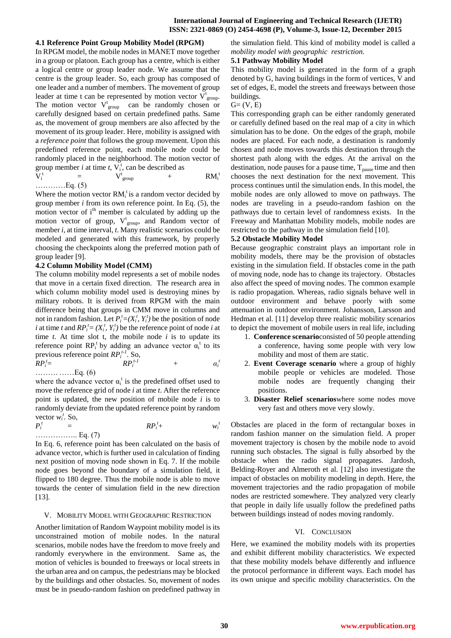# **International Journal of Engineering and Technical Research (IJETR) ISSN: 2321-0869 (O) 2454-4698 (P), Volume-3, Issue-12, December 2015**

#### **4.1 Reference Point Group Mobility Model (RPGM)**

In RPGM model, the mobile nodes in MANET move together in a group or platoon. Each group has a centre, which is either a logical centre or group leader node. We assume that the centre is the group leader. So, each group has composed of one leader and a number of members. The movement of group leader at time t can be represented by motion vector  $\overline{V}_{group}^t$ . The motion vector  $V_{group}^t$  can be randomly chosen or carefully designed based on certain predefined paths. Same as, the movement of group members are also affected by the movement of its group leader. Here, mobility is assigned with a *reference point* that follows the group movement. Upon this predefined reference point, each mobile node could be randomly placed in the neighborhood. The motion vector of group member *i* at time *t*,  $V_i^t$ , can be described as

$$
V_i^t = V_{group}^t + RM_i^t
$$
  
............Eq. (5)

Where the motion vector  $RM_i^t$  is a random vector decided by group member *i* from its own reference point. In Eq. (5), the motion vector of  $i<sup>th</sup>$  member is calculated by adding up the motion vector of group,  $V_{group}^t$  and Random vector of member *i,* at time interval, *t*. Many realistic scenarios could be modeled and generated with this framework, by properly choosing the checkpoints along the preferred motion path of group leader [9].

# **4.2 Column Mobility Model (CMM)**

The column mobility model represents a set of mobile nodes that move in a certain fixed direction. The research area in which column mobility model used is destroying mines by military robots. It is derived from RPGM with the main difference being that groups in CMM move in columns and not in random fashion. Let  $P_i^t = (X_i^t, Y_i^t)$  be the position of node *i* at time *t* and  $RP_i^t = (X_i^t, Y_i^t)$  be the reference point of node *i* at time  $t$ . At time slot  $t$ , the mobile node  $i$  is to update its reference point  $\mathbb{RP}^1$  by adding an advance vector  $\alpha_i^t$  to its previous reference point *RP<sup>i</sup> t-1* . So,

*RP<sup>i</sup> t* = *RP<sup>i</sup> t-1* + *α<sup>i</sup> t*  ……… ……Eq. (6)

where the advance vector  $\alpha_i^t$  is the predefined offset used to move the reference grid of node *i* at time *t*. After the reference point is updated, the new position of mobile node *i* is to randomly deviate from the updated reference point by random vector  $w_i^t$ . So,

$$
P_i' = \t R P_i' + \t w_i'
$$
  
............ Eq. (7)

In Eq. 6, reference point has been calculated on the basis of advance vector, which is further used in calculation of finding next position of moving node shown in Eq. 7. If the mobile node goes beyond the boundary of a simulation field, it flipped to 180 degree. Thus the mobile node is able to move towards the center of simulation field in the new direction [13].

#### V. MOBILITY MODEL WITH GEOGRAPHIC RESTRICTION

Another limitation of Random Waypoint mobility model is its unconstrained motion of mobile nodes. In the natural scenarios, mobile nodes have the freedom to move freely and randomly everywhere in the environment. Same as, the motion of vehicles is bounded to freeways or local streets in the urban area and on campus, the pedestrians may be blocked by the buildings and other obstacles. So, movement of nodes must be in pseudo-random fashion on predefined pathway in

the simulation field. This kind of mobility model is called a *mobility model with geographic restriction.*

# **5.1 Pathway Mobility Model**

This mobility model is generated in the form of a graph denoted by G, having buildings in the form of vertices, V and set of edges, E, model the streets and freeways between those buildings.

#### $G=(V, E)$

This corresponding graph can be either randomly generated or carefully defined based on the real map of a city in which simulation has to be done. On the edges of the graph, mobile nodes are placed. For each node, a destination is randomly chosen and node moves towards this destination through the shortest path along with the edges. At the arrival on the destination, node pauses for a pause time,  $T_{\text{pause}}$  time and then chooses the next destination for the next movement. This process continues until the simulation ends. In this model, the mobile nodes are only allowed to move on pathways. The nodes are traveling in a pseudo-random fashion on the pathways due to certain level of randomness exists. In the Freeway and Manhattan Mobility models, mobile nodes are restricted to the pathway in the simulation field [10].

## **5.2 Obstacle Mobility Model**

Because geographic constraint plays an important role in mobility models, there may be the provision of obstacles existing in the simulation field. If obstacles come in the path of moving node, node has to change its trajectory. Obstacles also affect the speed of moving nodes. The common example is radio propagation. Whereas, radio signals behave well in outdoor environment and behave poorly with some attenuation in outdoor environment. Johansson, Larsson and Hedman et al. [11] develop three realistic mobility scenarios to depict the movement of mobile users in real life, including

- 1. **Conference scenario**consisted of 50 people attending a conference, having some people with very low mobility and most of them are static.
- 2. **Event Coverage scenario** where a group of highly mobile people or vehicles are modeled. Those mobile nodes are frequently changing their positions.
- 3. **Disaster Relief scenarios**where some nodes move very fast and others move very slowly.

Obstacles are placed in the form of rectangular boxes in random fashion manner on the simulation field. A proper movement trajectory is chosen by the mobile node to avoid running such obstacles. The signal is fully absorbed by the obstacle when the radio signal propagates. Jardosh, Belding-Royer and Almeroth et al. [12] also investigate the impact of obstacles on mobility modeling in depth. Here, the movement trajectories and the radio propagation of mobile nodes are restricted somewhere. They analyzed very clearly that people in daily life usually follow the predefined paths between buildings instead of nodes moving randomly.

#### VI. CONCLUSION

Here, we examined the mobility models with its properties and exhibit different mobility characteristics. We expected that these mobility models behave differently and influence the protocol performance in different ways. Each model has its own unique and specific mobility characteristics. On the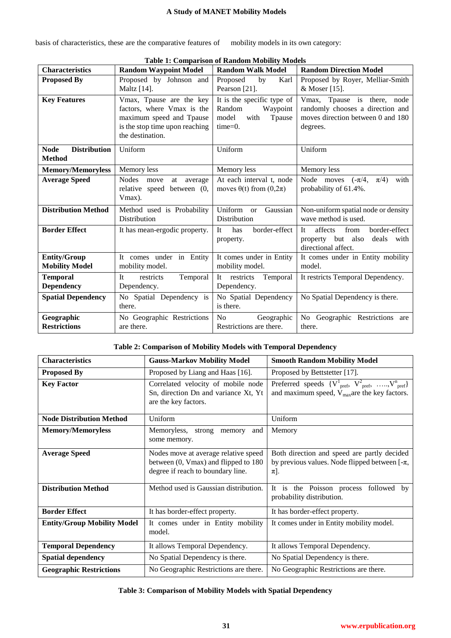| basis of characteristics, these are the comparative features of |  |  |  |
|-----------------------------------------------------------------|--|--|--|
|-----------------------------------------------------------------|--|--|--|

mobility models in its own category:

| <b>Characteristics</b>                              | <b>Random Waypoint Model</b>                                                                                                             | <b>Random Walk Model</b>                                                                  | <b>Random Direction Model</b>                                                                                    |
|-----------------------------------------------------|------------------------------------------------------------------------------------------------------------------------------------------|-------------------------------------------------------------------------------------------|------------------------------------------------------------------------------------------------------------------|
| <b>Proposed By</b>                                  | Proposed by Johnson and<br>Maltz [14].                                                                                                   | Proposed<br>by<br>Karl<br>Pearson [21].                                                   | Proposed by Royer, Melliar-Smith<br>& Moser [15].                                                                |
| <b>Key Features</b>                                 | Vmax, Tpause are the key<br>factors, where Vmax is the<br>maximum speed and Tpause<br>is the stop time upon reaching<br>the destination. | It is the specific type of<br>Random<br>Waypoint<br>model<br>with<br>Tpause<br>$time=0$ . | Vmax, Tpause is there, node<br>randomly chooses a direction and<br>moves direction between 0 and 180<br>degrees. |
| <b>Distribution</b><br><b>Node</b><br><b>Method</b> | Uniform                                                                                                                                  | Uniform                                                                                   | Uniform                                                                                                          |
| <b>Memory/Memoryless</b>                            | Memory less                                                                                                                              | Memory less                                                                               | Memory less                                                                                                      |
| <b>Average Speed</b>                                | <b>Nodes</b><br>move<br>at<br>average<br>relative speed between (0,<br>Vmax).                                                            | At each interval t, node<br>moves $\theta(t)$ from $(0,2\pi)$                             | Node moves $(-\pi/4,$<br>$\pi/4$ )<br>with<br>probability of 61.4%.                                              |
| <b>Distribution Method</b>                          | Method used is Probability<br>Distribution                                                                                               | Uniform or<br>Gaussian<br>Distribution                                                    | Non-uniform spatial node or density<br>wave method is used.                                                      |
| <b>Border Effect</b>                                | It has mean-ergodic property.                                                                                                            | border-effect<br>has<br>It<br>property.                                                   | affects<br>from<br>border-effect<br>It<br>property but also<br>deals<br>with<br>directional affect.              |
| <b>Entity/Group</b><br><b>Mobility Model</b>        | It comes under in Entity<br>mobility model.                                                                                              | It comes under in Entity<br>mobility model.                                               | It comes under in Entity mobility<br>model.                                                                      |
| <b>Temporal</b><br><b>Dependency</b>                | <b>It</b><br>restricts<br>Temporal<br>Dependency.                                                                                        | It restricts<br>Temporal<br>Dependency.                                                   | It restricts Temporal Dependency.                                                                                |
| <b>Spatial Dependency</b>                           | No Spatial Dependency is<br>there.                                                                                                       | No Spatial Dependency<br>is there.                                                        | No Spatial Dependency is there.                                                                                  |
| Geographic<br><b>Restrictions</b>                   | No Geographic Restrictions<br>are there.                                                                                                 | N <sub>o</sub><br>Geographic<br>Restrictions are there.                                   | No Geographic Restrictions are<br>there.                                                                         |

**Table 1: Comparison of Random Mobility Models**

# **Table 2: Comparison of Mobility Models with Temporal Dependency**

| <b>Characteristics</b>                                       | <b>Gauss-Markov Mobility Model</b>                                                                                | <b>Smooth Random Mobility Model</b>                                                                                                         |
|--------------------------------------------------------------|-------------------------------------------------------------------------------------------------------------------|---------------------------------------------------------------------------------------------------------------------------------------------|
| <b>Proposed By</b>                                           | Proposed by Liang and Haas [16].                                                                                  | Proposed by Bettstetter [17].                                                                                                               |
| <b>Key Factor</b>                                            | Correlated velocity of mobile node<br>Sn, direction Dn and variance Xt, Yt<br>are the key factors.                | Preferred speeds $\{V^1_{\text{pref}}, V^2_{\text{pref}}, \ldots, V^n_{\text{pref}}\}$<br>and maximum speed, $V_{max}$ are the key factors. |
| <b>Node Distribution Method</b>                              | Uniform                                                                                                           | Uniform                                                                                                                                     |
| <b>Memory/Memoryless</b>                                     | Memoryless, strong<br>memory<br>and<br>some memory.                                                               | Memory                                                                                                                                      |
| <b>Average Speed</b>                                         | Nodes move at average relative speed<br>between (0, Vmax) and flipped to 180<br>degree if reach to boundary line. | Both direction and speed are partly decided<br>by previous values. Node flipped between $[-\pi,$<br>$\pi$ ].                                |
| <b>Distribution Method</b>                                   | Method used is Gaussian distribution.                                                                             | It is the Poisson process followed by<br>probability distribution.                                                                          |
| <b>Border Effect</b>                                         | It has border-effect property.                                                                                    | It has border-effect property.                                                                                                              |
| <b>Entity/Group Mobility Model</b>                           | It comes under in Entity mobility<br>model.                                                                       | It comes under in Entity mobility model.                                                                                                    |
| <b>Temporal Dependency</b><br>It allows Temporal Dependency. |                                                                                                                   | It allows Temporal Dependency.                                                                                                              |
| <b>Spatial dependency</b>                                    | No Spatial Dependency is there.                                                                                   | No Spatial Dependency is there.                                                                                                             |
| <b>Geographic Restrictions</b>                               | No Geographic Restrictions are there.                                                                             | No Geographic Restrictions are there.                                                                                                       |

# **Table 3: Comparison of Mobility Models with Spatial Dependency**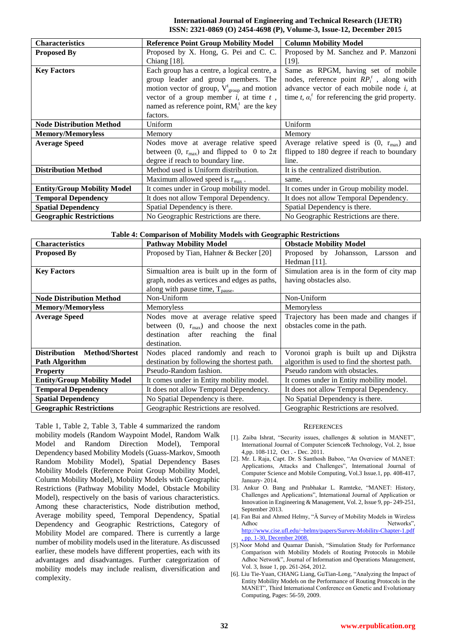# **International Journal of Engineering and Technical Research (IJETR) ISSN: 2321-0869 (O) 2454-4698 (P), Volume-3, Issue-12, December 2015**

| <b>Characteristics</b>             | <b>Reference Point Group Mobility Model</b>               | <b>Column Mobility Model</b>                            |
|------------------------------------|-----------------------------------------------------------|---------------------------------------------------------|
| <b>Proposed By</b>                 | Proposed by X. Hong, G. Pei and C. C.                     | Proposed by M. Sanchez and P. Manzoni                   |
|                                    | Chiang $[18]$ .                                           | $[19]$ .                                                |
| <b>Key Factors</b>                 | Each group has a centre, a logical centre, a              | Same as RPGM, having set of mobile                      |
|                                    | group leader and group members. The                       | nodes, reference point $RP_i^t$ , along with            |
|                                    | motion vector of group, $V_{\text{group}}^t$ and motion   | advance vector of each mobile node $i$ , at             |
|                                    | vector of a group member $i$ , at time $t$ ,              | time t, $\alpha_i^t$ for referencing the grid property. |
|                                    | named as reference point, $RM_i^t$ are the key            |                                                         |
|                                    | factors.                                                  |                                                         |
| <b>Node Distribution Method</b>    | Uniform                                                   | Uniform                                                 |
| <b>Memory/Memoryless</b>           | Memory                                                    | Memory                                                  |
| <b>Average Speed</b>               | Nodes move at average relative speed                      | Average relative speed is $(0, r_{max})$ and            |
|                                    | between (0, $r_{\text{max}}$ ) and flipped to 0 to $2\pi$ | flipped to 180 degree if reach to boundary              |
|                                    | degree if reach to boundary line.                         | line.                                                   |
| <b>Distribution Method</b>         | Method used is Uniform distribution.                      | It is the centralized distribution.                     |
|                                    | Maximum allowed speed is $r_{\text{max}}$ .               | same.                                                   |
| <b>Entity/Group Mobility Model</b> | It comes under in Group mobility model.                   | It comes under in Group mobility model.                 |
| <b>Temporal Dependency</b>         | It does not allow Temporal Dependency.                    | It does not allow Temporal Dependency.                  |
| <b>Spatial Dependency</b>          | Spatial Dependency is there.                              | Spatial Dependency is there.                            |
| <b>Geographic Restrictions</b>     | No Geographic Restrictions are there.                     | No Geographic Restrictions are there.                   |

# **Table 4: Comparison of Mobility Models with Geographic Restrictions**

| <b>Characteristics</b>                 | <b>Pathway Mobility Model</b>                 | <b>Obstacle Mobility Model</b>               |
|----------------------------------------|-----------------------------------------------|----------------------------------------------|
| <b>Proposed By</b>                     | Proposed by Tian, Hahner & Becker [20]        | Proposed by Johansson, Larsson and           |
|                                        |                                               | Hedman [11].                                 |
| <b>Key Factors</b>                     | Simualtion area is built up in the form of    | Simulation area is in the form of city map   |
|                                        | graph, nodes as vertices and edges as paths,  | having obstacles also.                       |
|                                        | along with pause time, $T_{\text{pause}}$ .   |                                              |
| <b>Node Distribution Method</b>        | Non-Uniform                                   | Non-Uniform                                  |
| <b>Memory/Memoryless</b>               | Memoryless                                    | Memoryless                                   |
| <b>Average Speed</b>                   | Nodes move at average relative speed          | Trajectory has been made and changes if      |
|                                        | between $(0, r_{max})$ and choose the next    | obstacles come in the path.                  |
|                                        | destination after<br>reaching<br>the<br>final |                                              |
|                                        | destination.                                  |                                              |
| <b>Distribution</b><br>Method/Shortest | Nodes placed randomly and reach to            | Voronoi graph is built up and Dijkstra       |
| <b>Path Algorithm</b>                  | destination by following the shortest path.   | algorithm is used to find the shortest path. |
| <b>Property</b>                        | Pseudo-Random fashion.                        | Pseudo random with obstacles.                |
| <b>Entity/Group Mobility Model</b>     | It comes under in Entity mobility model.      | It comes under in Entity mobility model.     |
| <b>Temporal Dependency</b>             | It does not allow Temporal Dependency.        | It does not allow Temporal Dependency.       |
| <b>Spatial Dependency</b>              | No Spatial Dependency is there.               | No Spatial Dependency is there.              |
| <b>Geographic Restrictions</b>         | Geographic Restrictions are resolved.         | Geographic Restrictions are resolved.        |

Table 1, Table 2, Table 3, Table 4 summarized the random mobility models (Random Waypoint Model, Random Walk Model and Random Direction Model), Temporal Dependency based Mobility Models (Guass-Markov, Smooth Random Mobility Model), Spatial Dependency Bases Mobility Models (Reference Point Group Mobility Model, Column Mobility Model), Mobility Models with Geographic Restrictions (Pathway Mobility Model, Obstacle Mobility Model), respectively on the basis of various characteristics. Among these characteristics, Node distribution method, Average mobility speed, Temporal Dependency, Spatial Dependency and Geographic Restrictions, Category of Mobility Model are compared. There is currently a large number of mobility models used in the literature. As discussed earlier, these models have different properties, each with its advantages and disadvantages. Further categorization of mobility models may include realism, diversification and complexity.

# **REFERENCES**

- [1]. Zaiba Ishrat, "Security issues, challenges & solution in MANET", International Journal of Computer Science& Technology, Vol. 2, Issue 4,pp. 108-112, Oct . - Dec. 2011.
- [2]. Mr. L Raja, Capt. Dr. S Santhosh Baboo, "An Overview of MANET: Applications, Attacks and Challenges", International Journal of Computer Science and Mobile Computing, Vol.3 Issue.1, pp. 408-417, January- 2014.
- [3]. Ankur O. Bang and Prabhakar L. Ramteke, "MANET: History, Challenges and Applications", International Journal of Application or Innovation in Engineering & Management, Vol. 2, Issue 9, pp- 249-251, September 2013.
- [4]. Fan Bai and Ahmed Helmy, "Ä Survey of Mobility Models in Wireless Adhoc Networks" [http://www.cise.ufl.edu/~helmy/papers/Survey-Mobility-Chapter-1.pdf](http://www.cise.ufl.edu/~helmy/papers/Survey-Mobility-Chapter-1.pdf,%20pp.%201-30,%20December%202008.%202) [, pp. 1-30, December 2008.](http://www.cise.ufl.edu/~helmy/papers/Survey-Mobility-Chapter-1.pdf,%20pp.%201-30,%20December%202008.%202)
- [5].Noor Mohd and Quamar Danish, "Simulation Study for Performance Comparison with Mobility Models of Routing Protocols in Mobile Adhoc Network", Journal of Information and Operations Management, Vol. 3, Issue 1, pp. 261-264, 2012.
- [6]. Liu Tie-Yuan, CHANG Liang, GuTian-Long, "Analyzing the Impact of Entity Mobility Models on the Performance of Routing Protocols in the MANET", Third International Conference on Genetic and Evolutionary Computing, Pages: 56-59, 2009.